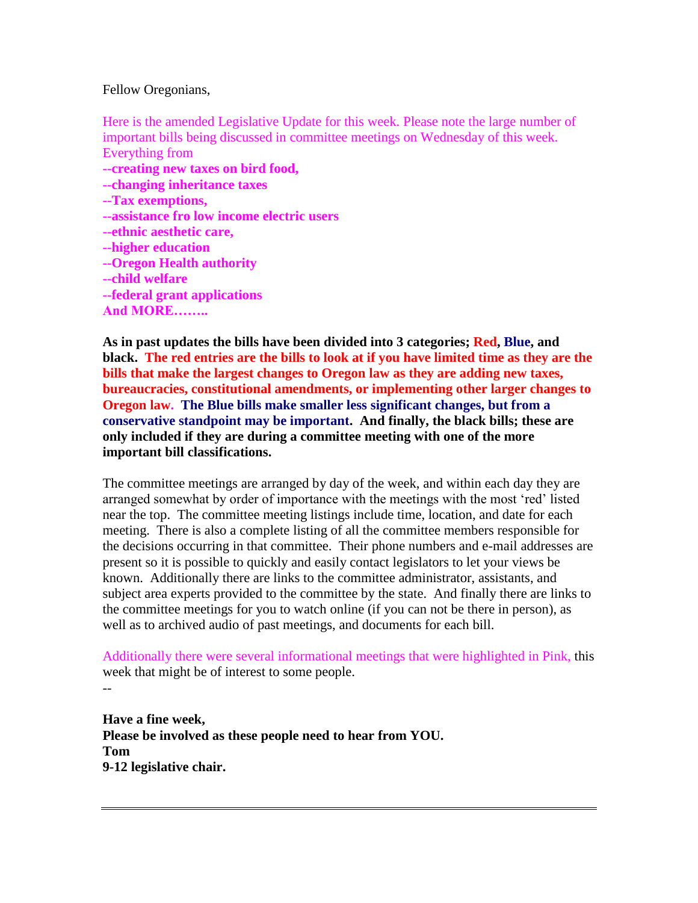Fellow Oregonians,

Here is the amended Legislative Update for this week. Please note the large number of important bills being discussed in committee meetings on Wednesday of this week. Everything from **--creating new taxes on bird food, --changing inheritance taxes --Tax exemptions, --assistance fro low income electric users --ethnic aesthetic care, --higher education --Oregon Health authority --child welfare --federal grant applications And MORE……..**

**As in past updates the bills have been divided into 3 categories; Red, Blue, and black. The red entries are the bills to look at if you have limited time as they are the bills that make the largest changes to Oregon law as they are adding new taxes, bureaucracies, constitutional amendments, or implementing other larger changes to Oregon law. The Blue bills make smaller less significant changes, but from a conservative standpoint may be important. And finally, the black bills; these are only included if they are during a committee meeting with one of the more important bill classifications.** 

The committee meetings are arranged by day of the week, and within each day they are arranged somewhat by order of importance with the meetings with the most "red" listed near the top. The committee meeting listings include time, location, and date for each meeting. There is also a complete listing of all the committee members responsible for the decisions occurring in that committee. Their phone numbers and e-mail addresses are present so it is possible to quickly and easily contact legislators to let your views be known. Additionally there are links to the committee administrator, assistants, and subject area experts provided to the committee by the state. And finally there are links to the committee meetings for you to watch online (if you can not be there in person), as well as to archived audio of past meetings, and documents for each bill.

Additionally there were several informational meetings that were highlighted in Pink, this week that might be of interest to some people.

--

# **Have a fine week, Please be involved as these people need to hear from YOU. Tom 9-12 legislative chair.**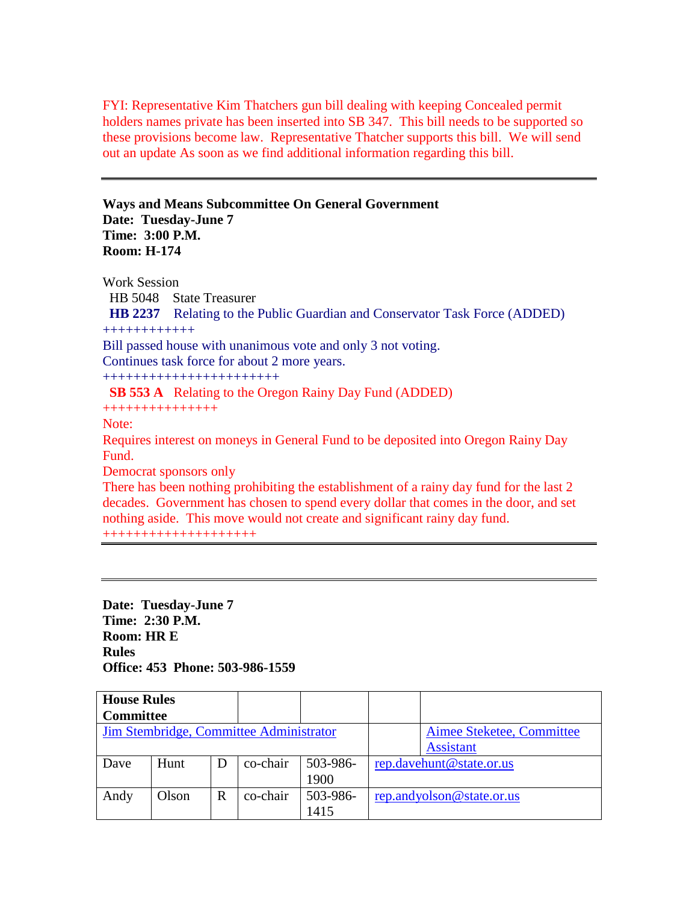FYI: Representative Kim Thatchers gun bill dealing with keeping Concealed permit holders names private has been inserted into SB 347. This bill needs to be supported so these provisions become law. Representative Thatcher supports this bill. We will send out an update As soon as we find additional information regarding this bill.

**Ways and Means Subcommittee On General Government Date: Tuesday-June 7 Time: 3:00 P.M. Room: H-174** 

Work Session HB 5048 State Treasurer  **HB 2237** Relating to the Public Guardian and Conservator Task Force (ADDED) ++++++++++++ Bill passed house with unanimous vote and only 3 not voting. Continues task force for about 2 more years. +++++++++++++++++++++++  **SB 553 A** Relating to the Oregon Rainy Day Fund (ADDED) +++++++++++++++ Note: Requires interest on moneys in General Fund to be deposited into Oregon Rainy Day Fund. Democrat sponsors only There has been nothing prohibiting the establishment of a rainy day fund for the last 2 decades. Government has chosen to spend every dollar that comes in the door, and set nothing aside. This move would not create and significant rainy day fund.

++++++++++++++++++++

**Date: Tuesday-June 7 Time: 2:30 P.M. Room: HR E Rules Office: 453 Phone: 503-986-1559** 

| <b>House Rules</b> |       |   |                                         |                           |                           |
|--------------------|-------|---|-----------------------------------------|---------------------------|---------------------------|
| <b>Committee</b>   |       |   |                                         |                           |                           |
|                    |       |   | Jim Stembridge, Committee Administrator | Aimee Steketee, Committee |                           |
|                    |       |   |                                         |                           | <b>Assistant</b>          |
| Dave               | Hunt  | D | co-chair                                | 503-986-                  | rep.davehunt@state.or.us  |
|                    |       |   |                                         | 1900                      |                           |
| Andy               | Olson | R | co-chair                                | 503-986-                  | rep.andyolson@state.or.us |
|                    |       |   |                                         | 1415                      |                           |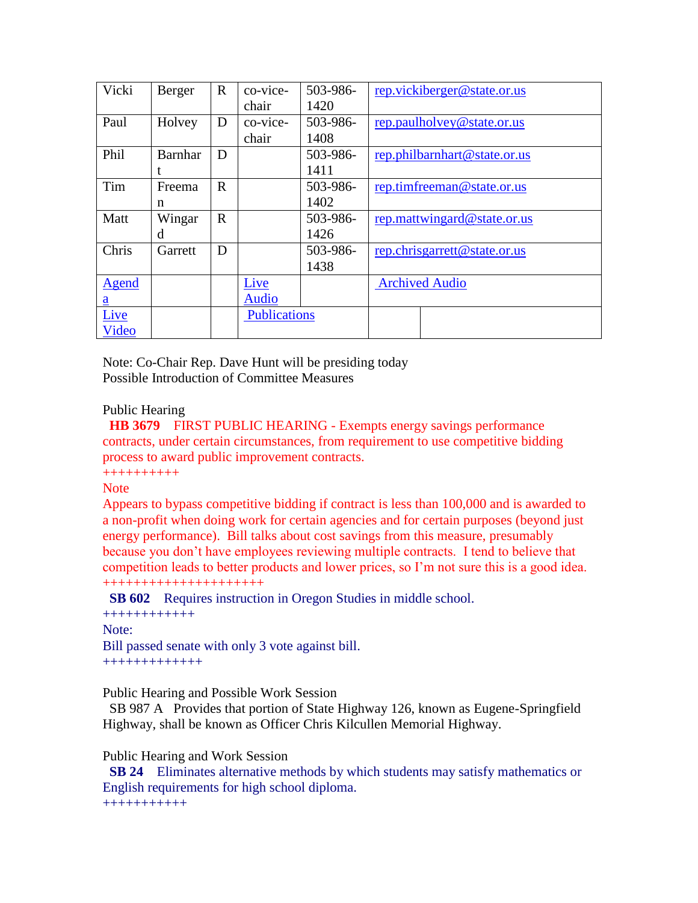| Vicki           | Berger         | $\mathbf R$ | co-vice-            | 503-986- |                              | rep.vickiberger@state.or.us  |  |
|-----------------|----------------|-------------|---------------------|----------|------------------------------|------------------------------|--|
|                 |                |             | chair               | 1420     |                              |                              |  |
| Paul            | Holvey         | D           | co-vice-            | 503-986- |                              | rep.paulholvey@state.or.us   |  |
|                 |                |             | chair               | 1408     |                              |                              |  |
| Phil            | <b>Barnhar</b> | D           |                     | 503-986- |                              | rep.philbarnhart@state.or.us |  |
|                 |                |             |                     | 1411     |                              |                              |  |
| Tim             | Freema         | $\mathbf R$ |                     | 503-986- |                              | rep.timfreeman@state.or.us   |  |
|                 | n              |             |                     | 1402     |                              |                              |  |
| Matt            | Wingar         | $\mathbf R$ |                     | 503-986- | rep.mattwingard@state.or.us  |                              |  |
|                 | d              |             |                     | 1426     |                              |                              |  |
| Chris           | Garrett        | D           |                     | 503-986- | rep.chrisgarrett@state.or.us |                              |  |
|                 |                |             |                     | 1438     |                              |                              |  |
| <b>Agend</b>    |                |             | Live                |          | <b>Archived Audio</b>        |                              |  |
| $\underline{a}$ |                |             | <b>Audio</b>        |          |                              |                              |  |
| Live            |                |             | <b>Publications</b> |          |                              |                              |  |
| Video           |                |             |                     |          |                              |                              |  |

Note: Co-Chair Rep. Dave Hunt will be presiding today Possible Introduction of Committee Measures

## Public Hearing

 **HB 3679** FIRST PUBLIC HEARING - Exempts energy savings performance contracts, under certain circumstances, from requirement to use competitive bidding process to award public improvement contracts.

++++++++++

## **Note**

Appears to bypass competitive bidding if contract is less than 100,000 and is awarded to a non-profit when doing work for certain agencies and for certain purposes (beyond just energy performance). Bill talks about cost savings from this measure, presumably because you don"t have employees reviewing multiple contracts. I tend to believe that competition leads to better products and lower prices, so I"m not sure this is a good idea. +++++++++++++++++++++

 **SB 602** Requires instruction in Oregon Studies in middle school.

++++++++++++ Note<sup>\*</sup> Bill passed senate with only 3 vote against bill. +++++++++++++

Public Hearing and Possible Work Session

 SB 987 A Provides that portion of State Highway 126, known as Eugene-Springfield Highway, shall be known as Officer Chris Kilcullen Memorial Highway.

## Public Hearing and Work Session

 **SB 24** Eliminates alternative methods by which students may satisfy mathematics or English requirements for high school diploma. +++++++++++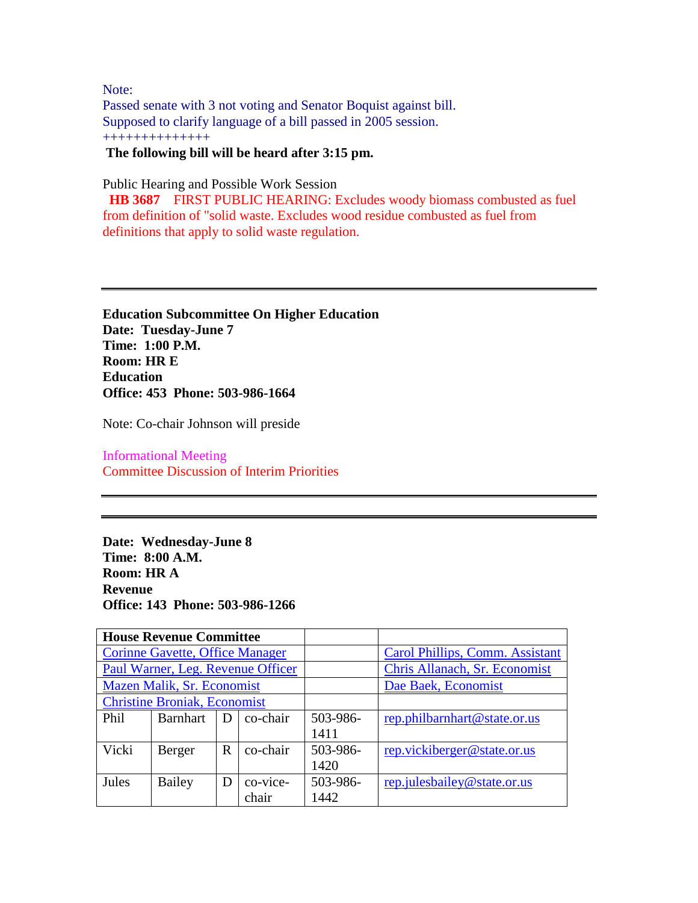Note: Passed senate with 3 not voting and Senator Boquist against bill. Supposed to clarify language of a bill passed in 2005 session. ++++++++++++++ **The following bill will be heard after 3:15 pm.** 

Public Hearing and Possible Work Session

 **HB 3687** FIRST PUBLIC HEARING: Excludes woody biomass combusted as fuel from definition of "solid waste. Excludes wood residue combusted as fuel from definitions that apply to solid waste regulation.

**Education Subcommittee On Higher Education Date: Tuesday-June 7 Time: 1:00 P.M. Room: HR E Education Office: 453 Phone: 503-986-1664** 

Note: Co-chair Johnson will preside

Informational Meeting Committee Discussion of Interim Priorities

**Date: Wednesday-June 8 Time: 8:00 A.M. Room: HR A Revenue Office: 143 Phone: 503-986-1266** 

|                                     | <b>House Revenue Committee</b>         |   |          |          |                                 |
|-------------------------------------|----------------------------------------|---|----------|----------|---------------------------------|
|                                     | <b>Corinne Gavette, Office Manager</b> |   |          |          | Carol Phillips, Comm. Assistant |
| Paul Warner, Leg. Revenue Officer   |                                        |   |          |          | Chris Allanach, Sr. Economist   |
| Mazen Malik, Sr. Economist          |                                        |   |          |          | Dae Baek, Economist             |
| <b>Christine Broniak, Economist</b> |                                        |   |          |          |                                 |
| Phil                                | <b>Barnhart</b>                        | D | co-chair | 503-986- | rep.philbarnhart@state.or.us    |
|                                     |                                        |   |          | 1411     |                                 |
| Vicki                               | Berger                                 | R | co-chair | 503-986- | rep.vickiberger@state.or.us     |
|                                     |                                        |   |          | 1420     |                                 |
| Jules                               | Bailey                                 | D | co-vice- | 503-986- | rep.julesbailey@state.or.us     |
|                                     |                                        |   | chair    | 1442     |                                 |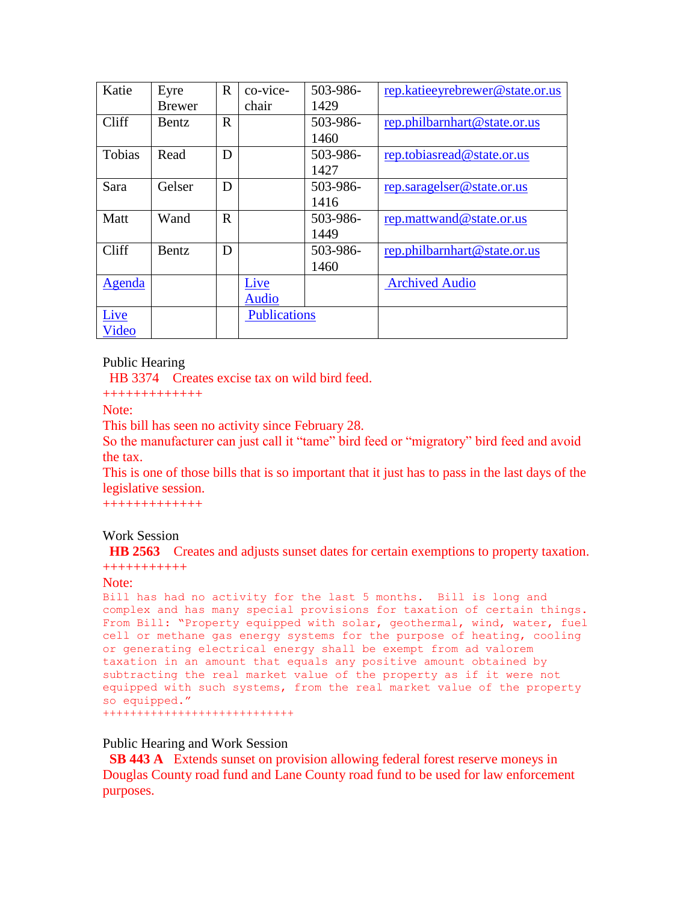| Katie  | Eyre          | $\mathbf R$ | co-vice-            | 503-986- | rep.katieeyrebrewer@state.or.us |
|--------|---------------|-------------|---------------------|----------|---------------------------------|
|        | <b>Brewer</b> |             | chair               | 1429     |                                 |
| Cliff  | <b>Bentz</b>  | $\mathbf R$ |                     | 503-986- | rep.philbarnhart@state.or.us    |
|        |               |             |                     | 1460     |                                 |
| Tobias | Read          | D           |                     | 503-986- | rep.tobiasread@state.or.us      |
|        |               |             |                     | 1427     |                                 |
| Sara   | Gelser        | D           |                     | 503-986- | rep.saragelser@state.or.us      |
|        |               |             |                     | 1416     |                                 |
| Matt   | Wand          | $\mathbf R$ |                     | 503-986- | rep.mattwand@state.or.us        |
|        |               |             |                     | 1449     |                                 |
| Cliff  | <b>Bentz</b>  | D           |                     | 503-986- | rep.philbarnhart@state.or.us    |
|        |               |             |                     | 1460     |                                 |
| Agenda |               |             | Live                |          | <b>Archived Audio</b>           |
|        |               |             | <b>Audio</b>        |          |                                 |
| Live   |               |             | <b>Publications</b> |          |                                 |
| Video  |               |             |                     |          |                                 |

## Public Hearing

HB 3374 Creates excise tax on wild bird feed.

+++++++++++++

Note:

This bill has seen no activity since February 28.

So the manufacturer can just call it "tame" bird feed or "migratory" bird feed and avoid the tax.

This is one of those bills that is so important that it just has to pass in the last days of the legislative session.

+++++++++++++

## Work Session

 **HB 2563** Creates and adjusts sunset dates for certain exemptions to property taxation. +++++++++++

## Note:

```
Bill has had no activity for the last 5 months. Bill is long and 
complex and has many special provisions for taxation of certain things. 
From Bill: "Property equipped with solar, geothermal, wind, water, fuel 
cell or methane gas energy systems for the purpose of heating, cooling 
or generating electrical energy shall be exempt from ad valorem 
taxation in an amount that equals any positive amount obtained by 
subtracting the real market value of the property as if it were not 
equipped with such systems, from the real market value of the property 
so equipped."
++++++++++++++++++++++++++++
```
#### Public Hearing and Work Session

 **SB 443 A** Extends sunset on provision allowing federal forest reserve moneys in Douglas County road fund and Lane County road fund to be used for law enforcement purposes.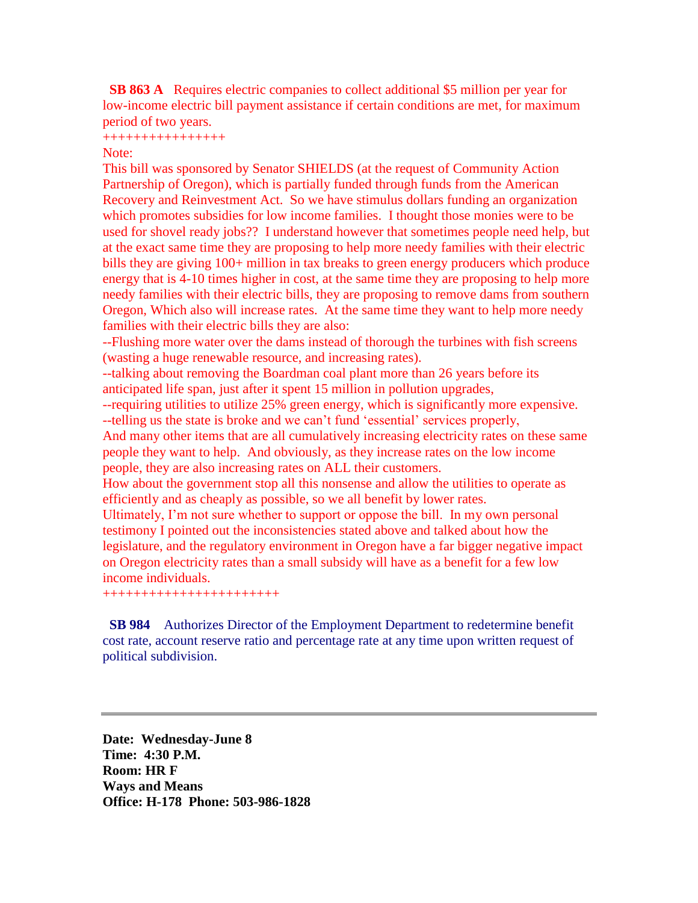**SB 863 A** Requires electric companies to collect additional \$5 million per year for low-income electric bill payment assistance if certain conditions are met, for maximum period of two years.

++++++++++++++++

Note:

This bill was sponsored by Senator SHIELDS (at the request of Community Action Partnership of Oregon), which is partially funded through funds from the American Recovery and Reinvestment Act. So we have stimulus dollars funding an organization which promotes subsidies for low income families. I thought those monies were to be used for shovel ready jobs?? I understand however that sometimes people need help, but at the exact same time they are proposing to help more needy families with their electric bills they are giving 100+ million in tax breaks to green energy producers which produce energy that is 4-10 times higher in cost, at the same time they are proposing to help more needy families with their electric bills, they are proposing to remove dams from southern Oregon, Which also will increase rates. At the same time they want to help more needy families with their electric bills they are also:

--Flushing more water over the dams instead of thorough the turbines with fish screens (wasting a huge renewable resource, and increasing rates).

--talking about removing the Boardman coal plant more than 26 years before its anticipated life span, just after it spent 15 million in pollution upgrades,

--requiring utilities to utilize 25% green energy, which is significantly more expensive. --telling us the state is broke and we can't fund 'essential' services properly,

And many other items that are all cumulatively increasing electricity rates on these same people they want to help. And obviously, as they increase rates on the low income people, they are also increasing rates on ALL their customers.

How about the government stop all this nonsense and allow the utilities to operate as efficiently and as cheaply as possible, so we all benefit by lower rates.

Ultimately, I'm not sure whether to support or oppose the bill. In my own personal testimony I pointed out the inconsistencies stated above and talked about how the legislature, and the regulatory environment in Oregon have a far bigger negative impact on Oregon electricity rates than a small subsidy will have as a benefit for a few low income individuals.

+++++++++++++++++++++++

 **SB 984** Authorizes Director of the Employment Department to redetermine benefit cost rate, account reserve ratio and percentage rate at any time upon written request of political subdivision.

**Date: Wednesday-June 8 Time: 4:30 P.M. Room: HR F Ways and Means Office: H-178 Phone: 503-986-1828**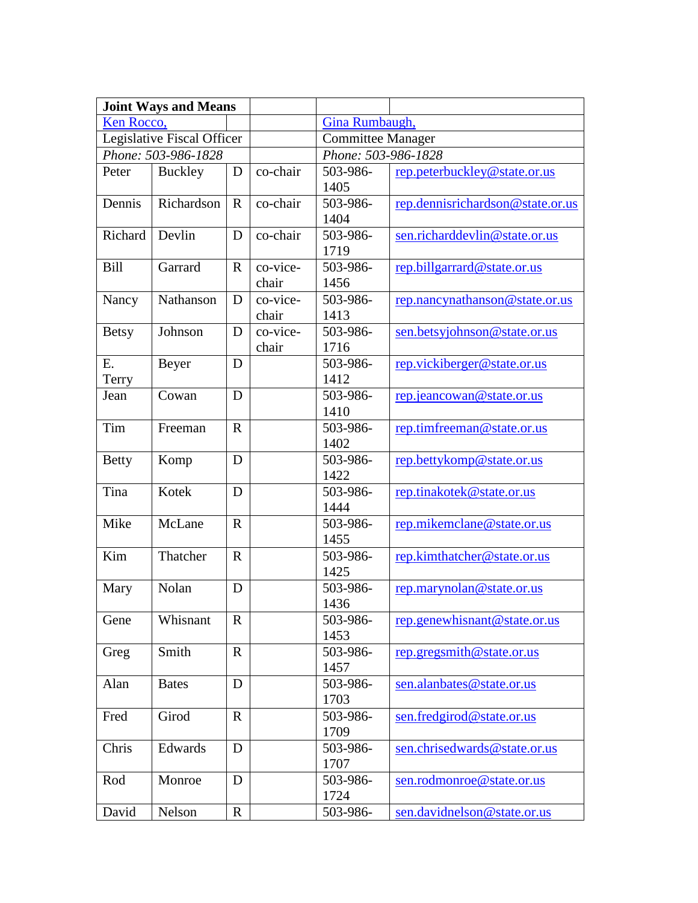|              | <b>Joint Ways and Means</b> |              |                   |                          |                                  |  |
|--------------|-----------------------------|--------------|-------------------|--------------------------|----------------------------------|--|
| Ken Rocco,   |                             |              |                   | Gina Rumbaugh,           |                                  |  |
|              | Legislative Fiscal Officer  |              |                   | <b>Committee Manager</b> |                                  |  |
|              | Phone: 503-986-1828         |              |                   | Phone: 503-986-1828      |                                  |  |
| Peter        | Buckley                     | D            | co-chair          | 503-986-<br>1405         | rep.peterbuckley@state.or.us     |  |
| Dennis       | Richardson                  | $\mathbf{R}$ | co-chair          | 503-986-<br>1404         | rep.dennisrichardson@state.or.us |  |
| Richard      | Devlin                      | D            | co-chair          | 503-986-<br>1719         | sen.richarddevlin@state.or.us    |  |
| <b>Bill</b>  | Garrard                     | $\mathbf R$  | co-vice-<br>chair | 503-986-<br>1456         | rep.billgarrard@state.or.us      |  |
| Nancy        | Nathanson                   | D            | co-vice-<br>chair | 503-986-<br>1413         | rep.nancynathanson@state.or.us   |  |
| <b>Betsy</b> | Johnson                     | D            | co-vice-<br>chair | 503-986-<br>1716         | sen.betsyjohnson@state.or.us     |  |
| Ε.<br>Terry  | Beyer                       | D            |                   | 503-986-<br>1412         | rep.vickiberger@state.or.us      |  |
| Jean         | Cowan                       | D            |                   | 503-986-<br>1410         | rep.jeancowan@state.or.us        |  |
| Tim          | Freeman                     | $\mathbf{R}$ |                   | 503-986-<br>1402         | rep.timfreeman@state.or.us       |  |
| <b>Betty</b> | Komp                        | D            |                   | 503-986-<br>1422         | rep.bettykomp@state.or.us        |  |
| Tina         | Kotek                       | D            |                   | 503-986-<br>1444         | rep.tinakotek@state.or.us        |  |
| Mike         | McLane                      | $\mathbf{R}$ |                   | 503-986-<br>1455         | rep.mikemclane@state.or.us       |  |
| Kim          | Thatcher                    | $\mathbf{R}$ |                   | 503-986-<br>1425         | rep.kimthatcher@state.or.us      |  |
| Mary         | Nolan                       | D            |                   | 503-986-<br>1436         | rep.marynolan@state.or.us        |  |
| Gene         | Whisnant                    | $\mathbf{R}$ |                   | 503-986-<br>1453         | rep.genewhisnant@state.or.us     |  |
| Greg         | Smith                       | $\mathbf{R}$ |                   | 503-986-<br>1457         | rep.gregsmith@state. or.us       |  |
| Alan         | <b>Bates</b>                | D            |                   | 503-986-<br>1703         | sen.alanbates@state.or.us        |  |
| Fred         | Girod                       | $\mathbf{R}$ |                   | 503-986-<br>1709         | sen.fredgirod@state.or.us        |  |
| Chris        | Edwards                     | D            |                   | 503-986-<br>1707         | sen.chrisedwards@state.or.us     |  |
| Rod          | Monroe                      | D            |                   | 503-986-<br>1724         | sen.rodmonroe@state.or.us        |  |
| David        | Nelson                      | $\mathbf R$  |                   | 503-986-                 | sen.davidnelson@state.or.us      |  |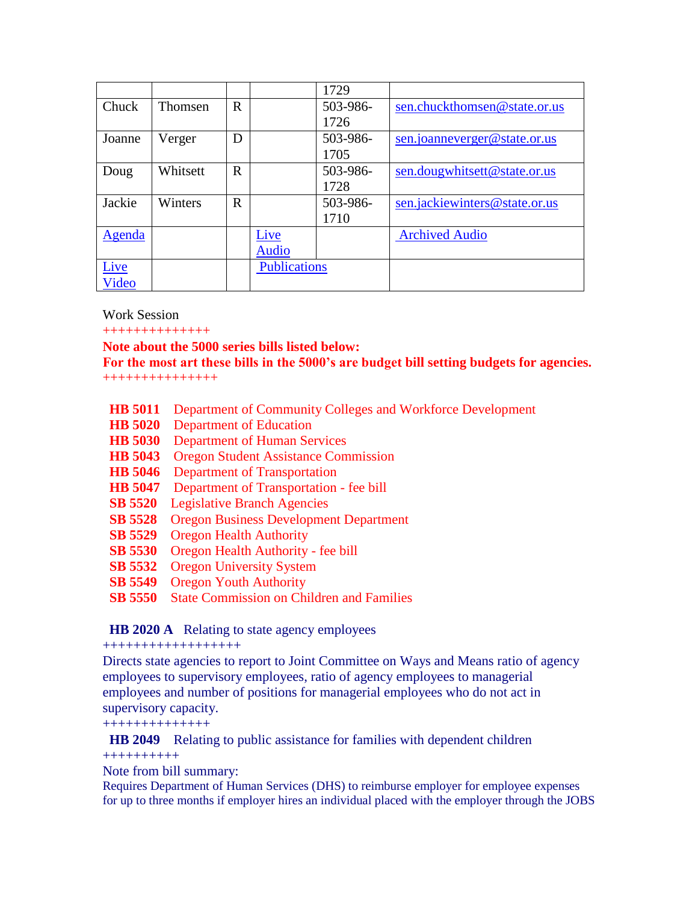|        |          |             |                     | 1729     |                               |
|--------|----------|-------------|---------------------|----------|-------------------------------|
| Chuck  | Thomsen  | $\mathbf R$ |                     | 503-986- | sen.chuckthomsen@state.or.us  |
|        |          |             |                     | 1726     |                               |
| Joanne | Verger   | D           |                     | 503-986- | sen.joanneverger@state.or.us  |
|        |          |             |                     | 1705     |                               |
| Doug   | Whitsett | R           |                     | 503-986- | sen.dougwhitsett@state.or.us  |
|        |          |             |                     | 1728     |                               |
| Jackie | Winters  | $\mathbf R$ |                     | 503-986- | sen.jackiewinters@state.or.us |
|        |          |             |                     | 1710     |                               |
| Agenda |          |             | Live                |          | <b>Archived Audio</b>         |
|        |          |             | <b>Audio</b>        |          |                               |
| Live   |          |             | <b>Publications</b> |          |                               |
| Video  |          |             |                     |          |                               |

## Work Session

++++++++++++++

## **Note about the 5000 series bills listed below:**

# **For the most art these bills in the 5000's are budget bill setting budgets for agencies.**

+++++++++++++++

- **HB 5011** Department of Community Colleges and Workforce Development
- **HB 5020** Department of Education
- **HB 5030** Department of Human Services
- **HB 5043** Oregon Student Assistance Commission
- **HB 5046** Department of Transportation
- **HB 5047** Department of Transportation fee bill
- **SB 5520** Legislative Branch Agencies
- **SB 5528** Oregon Business Development Department
- **SB 5529** Oregon Health Authority
- **SB 5530** Oregon Health Authority fee bill
- **SB 5532** Oregon University System
- **SB 5549** Oregon Youth Authority
- **SB 5550** State Commission on Children and Families

## **HB 2020 A** Relating to state agency employees

#### ++++++++++++++++++

Directs state agencies to report to Joint Committee on Ways and Means ratio of agency employees to supervisory employees, ratio of agency employees to managerial employees and number of positions for managerial employees who do not act in supervisory capacity.

++++++++++++++

 **HB 2049** Relating to public assistance for families with dependent children ++++++++++

Note from bill summary:

Requires Department of Human Services (DHS) to reimburse employer for employee expenses for up to three months if employer hires an individual placed with the employer through the JOBS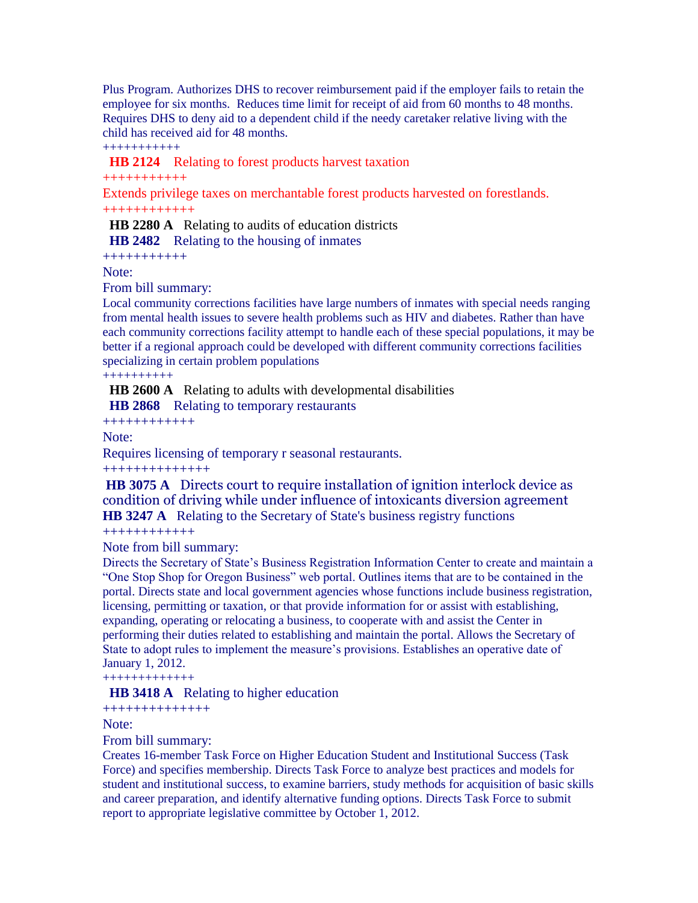Plus Program. Authorizes DHS to recover reimbursement paid if the employer fails to retain the employee for six months. Reduces time limit for receipt of aid from 60 months to 48 months. Requires DHS to deny aid to a dependent child if the needy caretaker relative living with the child has received aid for 48 months.

+++++++++++

 **HB 2124** Relating to forest products harvest taxation

+++++++++++

Extends privilege taxes on merchantable forest products harvested on forestlands. ++++++++++++

**HB 2280 A** Relating to audits of education districts

 **HB 2482** Relating to the housing of inmates

+++++++++++

Note:

From bill summary:

Local community corrections facilities have large numbers of inmates with special needs ranging from mental health issues to severe health problems such as HIV and diabetes. Rather than have each community corrections facility attempt to handle each of these special populations, it may be better if a regional approach could be developed with different community corrections facilities specializing in certain problem populations

++++++++++

 **HB 2600 A** Relating to adults with developmental disabilities

 **HB 2868** Relating to temporary restaurants

++++++++++++

Note:

Requires licensing of temporary r seasonal restaurants.

++++++++++++++

**HB 3075 A** Directs court to require installation of ignition interlock device as condition of driving while under influence of intoxicants diversion agreement **HB 3247 A** Relating to the Secretary of State's business registry functions

++++++++++++

Note from bill summary:

Directs the Secretary of State"s Business Registration Information Center to create and maintain a "One Stop Shop for Oregon Business" web portal. Outlines items that are to be contained in the portal. Directs state and local government agencies whose functions include business registration, licensing, permitting or taxation, or that provide information for or assist with establishing, expanding, operating or relocating a business, to cooperate with and assist the Center in performing their duties related to establishing and maintain the portal. Allows the Secretary of State to adopt rules to implement the measure"s provisions. Establishes an operative date of January 1, 2012.

+++++++++++++

**HB 3418 A** Relating to higher education

++++++++++++++

Note:

From bill summary:

Creates 16-member Task Force on Higher Education Student and Institutional Success (Task Force) and specifies membership. Directs Task Force to analyze best practices and models for student and institutional success, to examine barriers, study methods for acquisition of basic skills and career preparation, and identify alternative funding options. Directs Task Force to submit report to appropriate legislative committee by October 1, 2012.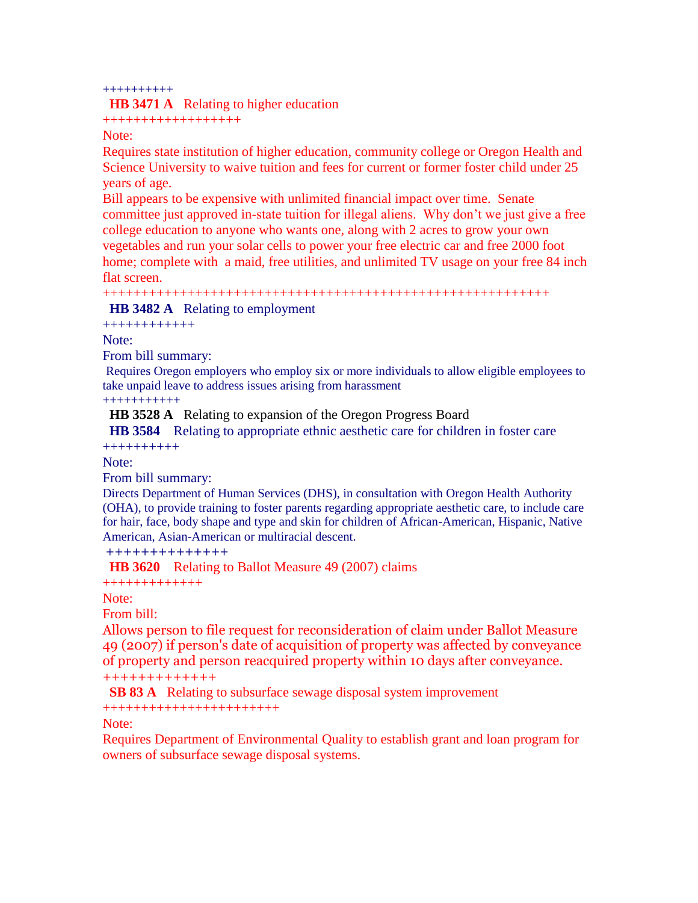#### ++++++++++

#### **HB 3471 A** Relating to higher education

++++++++++++++++++

## Note:

Requires state institution of higher education, community college or Oregon Health and Science University to waive tuition and fees for current or former foster child under 25 years of age.

Bill appears to be expensive with unlimited financial impact over time. Senate committee just approved in-state tuition for illegal aliens. Why don"t we just give a free college education to anyone who wants one, along with 2 acres to grow your own vegetables and run your solar cells to power your free electric car and free 2000 foot home; complete with a maid, free utilities, and unlimited TV usage on your free 84 inch flat screen.

++++++++++++++++++++++++++++++++++++++++++++++++++++++++++

 **HB 3482 A** Relating to employment

++++++++++++

Note:

From bill summary:

Requires Oregon employers who employ six or more individuals to allow eligible employees to take unpaid leave to address issues arising from harassment

+++++++++++

**HB 3528 A** Relating to expansion of the Oregon Progress Board

 **HB 3584** Relating to appropriate ethnic aesthetic care for children in foster care ++++++++++

Note:

From bill summary:

Directs Department of Human Services (DHS), in consultation with Oregon Health Authority (OHA), to provide training to foster parents regarding appropriate aesthetic care, to include care for hair, face, body shape and type and skin for children of African-American, Hispanic, Native American, Asian-American or multiracial descent.

++++++++++++++

**HB 3620** Relating to Ballot Measure 49 (2007) claims

+++++++++++++

Note:

From bill:

Allows person to file request for reconsideration of claim under Ballot Measure 49 (2007) if person's date of acquisition of property was affected by conveyance of property and person reacquired property within 10 days after conveyance. +++++++++++++

 **SB 83 A** Relating to subsurface sewage disposal system improvement

+++++++++++++++++++++++

Note:

Requires Department of Environmental Quality to establish grant and loan program for owners of subsurface sewage disposal systems.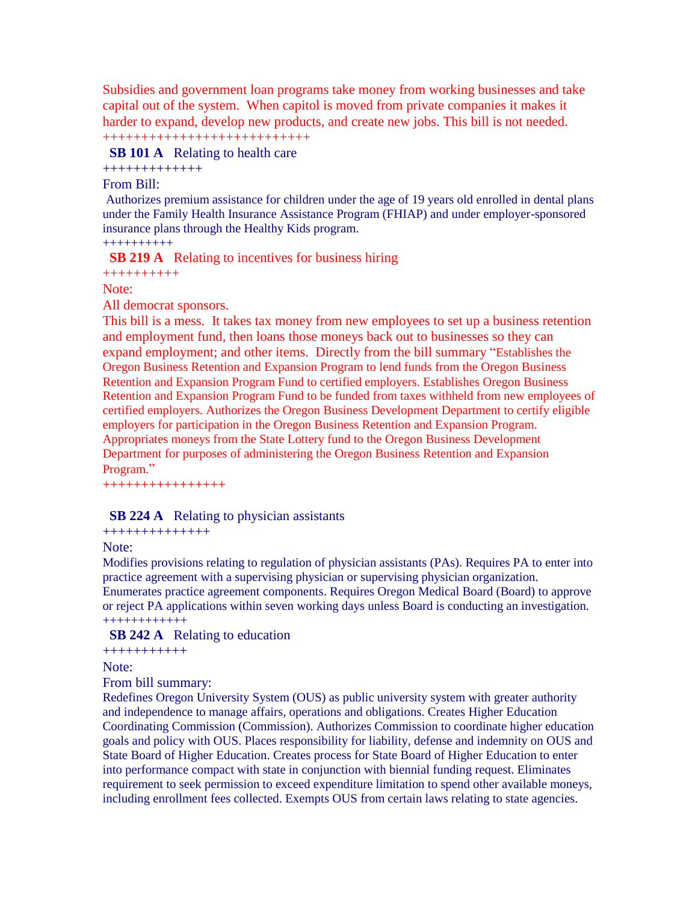Subsidies and government loan programs take money from working businesses and take capital out of the system. When capitol is moved from private companies it makes it harder to expand, develop new products, and create new jobs. This bill is not needed.

+++++++++++++++++++++++++++

## **SB 101 A** Relating to health care

+++++++++++++

## From Bill:

Authorizes premium assistance for children under the age of 19 years old enrolled in dental plans under the Family Health Insurance Assistance Program (FHIAP) and under employer-sponsored insurance plans through the Healthy Kids program.

## ++++++++++

**SB 219 A** Relating to incentives for business hiring

++++++++++

## Note:

All democrat sponsors.

This bill is a mess. It takes tax money from new employees to set up a business retention and employment fund, then loans those moneys back out to businesses so they can expand employment; and other items. Directly from the bill summary "Establishes the Oregon Business Retention and Expansion Program to lend funds from the Oregon Business Retention and Expansion Program Fund to certified employers. Establishes Oregon Business Retention and Expansion Program Fund to be funded from taxes withheld from new employees of certified employers. Authorizes the Oregon Business Development Department to certify eligible employers for participation in the Oregon Business Retention and Expansion Program. Appropriates moneys from the State Lottery fund to the Oregon Business Development Department for purposes of administering the Oregon Business Retention and Expansion Program."

++++++++++++++++

## **SB 224 A** Relating to physician assistants

#### ++++++++++++++

## Note:

Modifies provisions relating to regulation of physician assistants (PAs). Requires PA to enter into practice agreement with a supervising physician or supervising physician organization. Enumerates practice agreement components. Requires Oregon Medical Board (Board) to approve or reject PA applications within seven working days unless Board is conducting an investigation. ++++++++++++

## **SB 242 A** Relating to education

+++++++++++

Note:

## From bill summary:

Redefines Oregon University System (OUS) as public university system with greater authority and independence to manage affairs, operations and obligations. Creates Higher Education Coordinating Commission (Commission). Authorizes Commission to coordinate higher education goals and policy with OUS. Places responsibility for liability, defense and indemnity on OUS and State Board of Higher Education. Creates process for State Board of Higher Education to enter into performance compact with state in conjunction with biennial funding request. Eliminates requirement to seek permission to exceed expenditure limitation to spend other available moneys, including enrollment fees collected. Exempts OUS from certain laws relating to state agencies.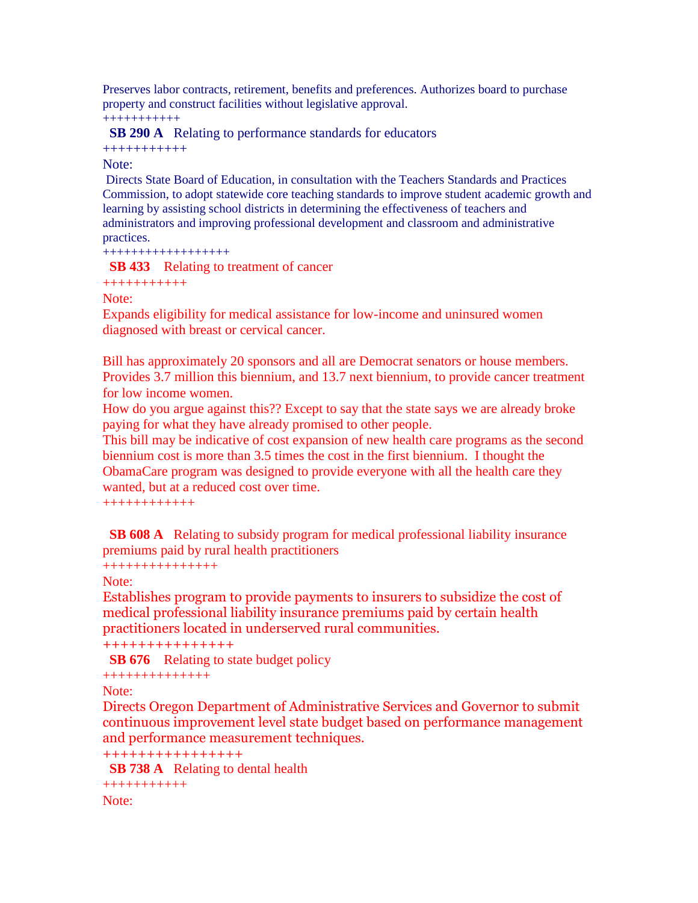Preserves labor contracts, retirement, benefits and preferences. Authorizes board to purchase property and construct facilities without legislative approval. +++++++++++

 **SB 290 A** Relating to performance standards for educators

+++++++++++

## Note:

Directs State Board of Education, in consultation with the Teachers Standards and Practices Commission, to adopt statewide core teaching standards to improve student academic growth and learning by assisting school districts in determining the effectiveness of teachers and administrators and improving professional development and classroom and administrative practices.

++++++++++++++++++

**SB 433** Relating to treatment of cancer

+++++++++++

Note:

Expands eligibility for medical assistance for low-income and uninsured women diagnosed with breast or cervical cancer.

Bill has approximately 20 sponsors and all are Democrat senators or house members. Provides 3.7 million this biennium, and 13.7 next biennium, to provide cancer treatment for low income women.

How do you argue against this?? Except to say that the state says we are already broke paying for what they have already promised to other people.

This bill may be indicative of cost expansion of new health care programs as the second biennium cost is more than 3.5 times the cost in the first biennium. I thought the ObamaCare program was designed to provide everyone with all the health care they wanted, but at a reduced cost over time.

++++++++++++

**SB 608 A** Relating to subsidy program for medical professional liability insurance premiums paid by rural health practitioners

```
+++++++++++++++
```
Note:

Establishes program to provide payments to insurers to subsidize the cost of medical professional liability insurance premiums paid by certain health practitioners located in underserved rural communities.

+++++++++++++++

**SB 676** Relating to state budget policy

```
++++++++++++++
```
Note:

Directs Oregon Department of Administrative Services and Governor to submit continuous improvement level state budget based on performance management and performance measurement techniques.

```
++++++++++++++++
```
**SB 738 A** Relating to dental health

```
+++++++++++
Note:
```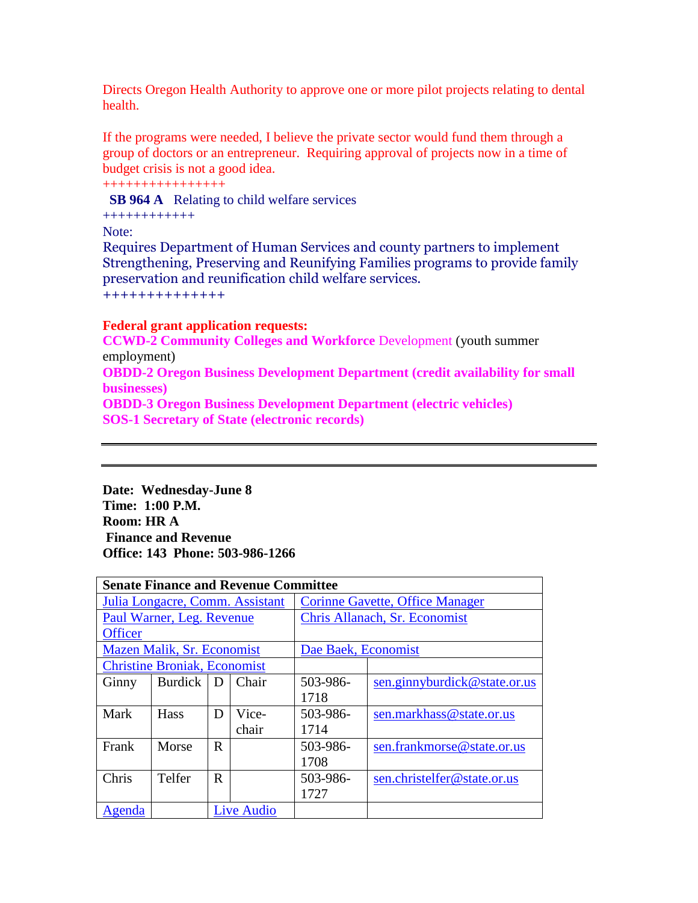Directs Oregon Health Authority to approve one or more pilot projects relating to dental health.

If the programs were needed, I believe the private sector would fund them through a group of doctors or an entrepreneur. Requiring approval of projects now in a time of budget crisis is not a good idea.

++++++++++++++++

**SB 964 A** Relating to child welfare services

++++++++++++

Note:

Requires Department of Human Services and county partners to implement Strengthening, Preserving and Reunifying Families programs to provide family preservation and reunification child welfare services. ++++++++++++++

## **Federal grant application requests:**

**CCWD-2 Community Colleges and Workforce** Development (youth summer employment)

**OBDD-2 Oregon Business Development Department (credit availability for small businesses)**

**OBDD-3 Oregon Business Development Department (electric vehicles) SOS-1 Secretary of State (electronic records)** 

**Date: Wednesday-June 8 Time: 1:00 P.M. Room: HR A Finance and Revenue Office: 143 Phone: 503-986-1266** 

| <b>Senate Finance and Revenue Committee</b> |                                     |             |                   |                                        |                               |  |  |
|---------------------------------------------|-------------------------------------|-------------|-------------------|----------------------------------------|-------------------------------|--|--|
| Julia Longacre, Comm. Assistant             |                                     |             |                   | <b>Corinne Gavette, Office Manager</b> |                               |  |  |
|                                             | Paul Warner, Leg. Revenue           |             |                   |                                        | Chris Allanach, Sr. Economist |  |  |
| <b>Officer</b>                              |                                     |             |                   |                                        |                               |  |  |
|                                             | Mazen Malik, Sr. Economist          |             |                   | Dae Baek, Economist                    |                               |  |  |
|                                             | <b>Christine Broniak, Economist</b> |             |                   |                                        |                               |  |  |
| Ginny                                       | <b>Burdick</b>                      | D           | Chair             | 503-986-                               | sen.ginnyburdick@state.or.us  |  |  |
|                                             |                                     |             |                   | 1718                                   |                               |  |  |
| Mark                                        | <b>Hass</b>                         | D           | Vice-             | 503-986-                               | sen.markhass@state.or.us      |  |  |
|                                             |                                     |             | chair             | 1714                                   |                               |  |  |
| Frank                                       | Morse                               | $\mathbf R$ |                   | 503-986-                               | sen.frankmorse@state.or.us    |  |  |
|                                             |                                     |             |                   | 1708                                   |                               |  |  |
| Chris                                       | Telfer                              | $\mathbf R$ |                   | 503-986-                               | sen.christelfer@state.or.us   |  |  |
|                                             |                                     |             |                   | 1727                                   |                               |  |  |
| Agenda                                      |                                     |             | <b>Live Audio</b> |                                        |                               |  |  |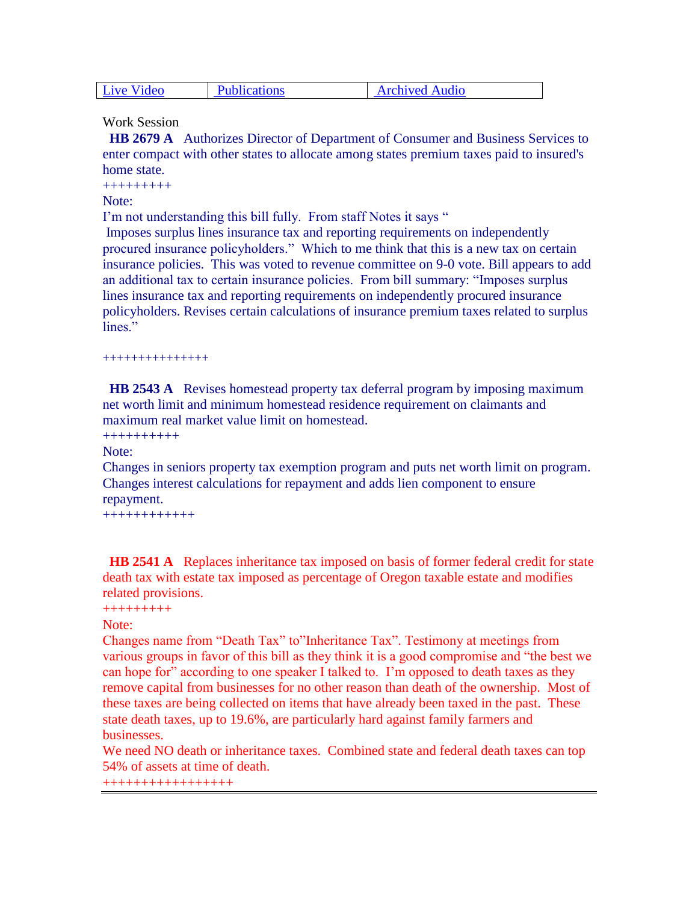| <b>Live Video</b> | <b>Publications</b> | <b>Archived Audio</b> |
|-------------------|---------------------|-----------------------|
|-------------------|---------------------|-----------------------|

Work Session

 **HB 2679 A** Authorizes Director of Department of Consumer and Business Services to enter compact with other states to allocate among states premium taxes paid to insured's home state.

+++++++++

Note:

I'm not understanding this bill fully. From staff Notes it says "

Imposes surplus lines insurance tax and reporting requirements on independently procured insurance policyholders." Which to me think that this is a new tax on certain insurance policies. This was voted to revenue committee on 9-0 vote. Bill appears to add an additional tax to certain insurance policies. From bill summary: "Imposes surplus lines insurance tax and reporting requirements on independently procured insurance policyholders. Revises certain calculations of insurance premium taxes related to surplus lines."

+++++++++++++++

**HB 2543 A** Revises homestead property tax deferral program by imposing maximum net worth limit and minimum homestead residence requirement on claimants and maximum real market value limit on homestead.

++++++++++

Note:

Changes in seniors property tax exemption program and puts net worth limit on program. Changes interest calculations for repayment and adds lien component to ensure repayment.

++++++++++++

 **HB 2541 A** Replaces inheritance tax imposed on basis of former federal credit for state death tax with estate tax imposed as percentage of Oregon taxable estate and modifies related provisions.

```
+++++++++
```
#### Note:

Changes name from "Death Tax" to"Inheritance Tax". Testimony at meetings from various groups in favor of this bill as they think it is a good compromise and "the best we can hope for" according to one speaker I talked to. I"m opposed to death taxes as they remove capital from businesses for no other reason than death of the ownership. Most of these taxes are being collected on items that have already been taxed in the past. These state death taxes, up to 19.6%, are particularly hard against family farmers and businesses.

We need NO death or inheritance taxes. Combined state and federal death taxes can top 54% of assets at time of death.

+++++++++++++++++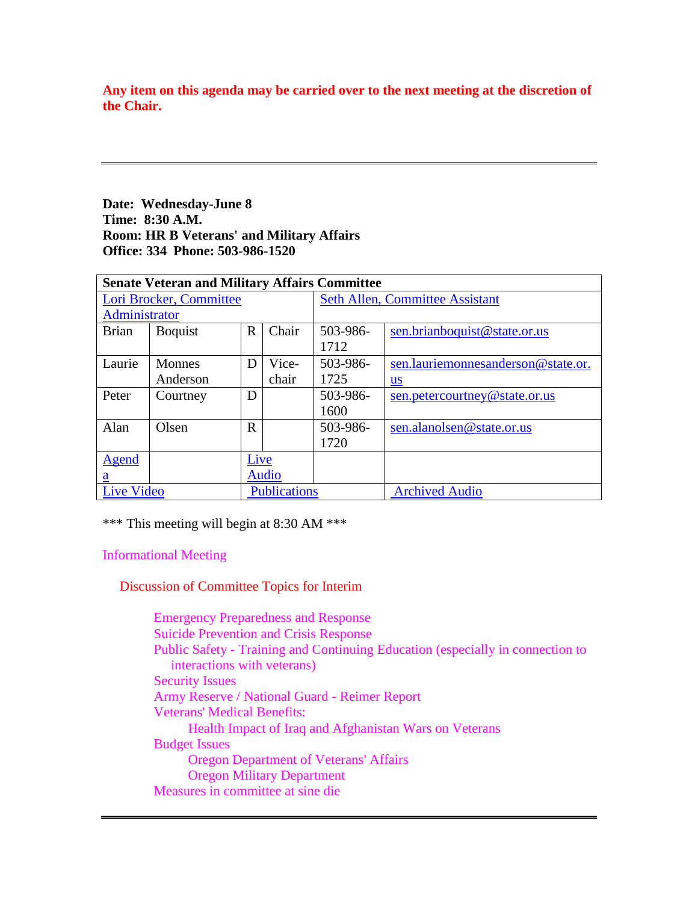**Any item on this agenda may be carried over to the next meeting at the discretion of the Chair.** 

# **Date: Wednesday-June 8 Time: 8:30 A.M. Room: HR B Veterans' and Military Affairs Office: 334 Phone: 503-986-1520**

|                         | <b>Senate Veteran and Military Affairs Committee</b> |              |                     |          |                                        |  |  |
|-------------------------|------------------------------------------------------|--------------|---------------------|----------|----------------------------------------|--|--|
| Lori Brocker, Committee |                                                      |              |                     |          | <b>Seth Allen, Committee Assistant</b> |  |  |
| Administrator           |                                                      |              |                     |          |                                        |  |  |
| <b>Brian</b>            | <b>B</b> oquist                                      | $\mathbf R$  | Chair               | 503-986- | sen.brianboquist@state.or.us           |  |  |
|                         |                                                      |              |                     | 1712     |                                        |  |  |
| Laurie                  | <b>Monnes</b>                                        | D            | Vice-               | 503-986- | sen.lauriemonnesanderson@state.or.     |  |  |
|                         | Anderson                                             |              | chair               | 1725     | $us$                                   |  |  |
| Peter                   | Courtney                                             | D            |                     | 503-986- | sen.petercourtney@state.or.us          |  |  |
|                         |                                                      |              |                     | 1600     |                                        |  |  |
| Alan                    | Olsen                                                | R            |                     | 503-986- | sen.alanolsen@state.or.us              |  |  |
|                         |                                                      |              |                     | 1720     |                                        |  |  |
| Agend                   |                                                      | Live         |                     |          |                                        |  |  |
| $\underline{a}$         |                                                      | <b>Audio</b> |                     |          |                                        |  |  |
| Live Video              |                                                      |              | <b>Publications</b> |          | <b>Archived Audio</b>                  |  |  |

\*\*\* This meeting will begin at 8:30 AM \*\*\*

Informational Meeting

Discussion of Committee Topics for Interim

 Emergency Preparedness and Response Suicide Prevention and Crisis Response Public Safety - Training and Continuing Education (especially in connection to interactions with veterans) Security Issues Army Reserve / National Guard - Reimer Report Veterans' Medical Benefits: Health Impact of Iraq and Afghanistan Wars on Veterans Budget Issues Oregon Department of Veterans' Affairs Oregon Military Department Measures in committee at sine die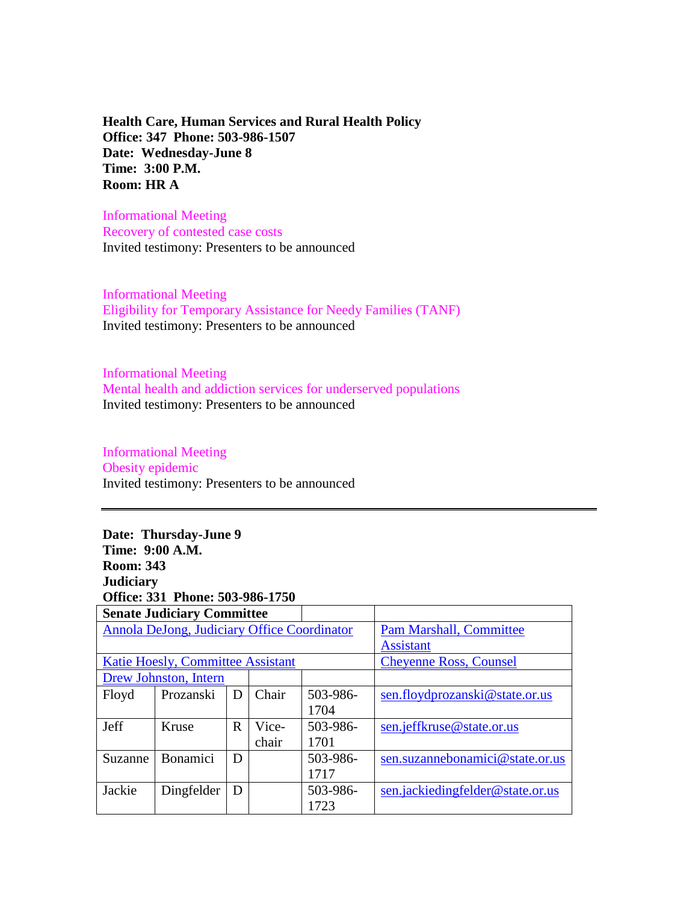**Health Care, Human Services and Rural Health Policy Office: 347 Phone: 503-986-1507 Date: Wednesday-June 8 Time: 3:00 P.M. Room: HR A**

Informational Meeting Recovery of contested case costs Invited testimony: Presenters to be announced

Informational Meeting Eligibility for Temporary Assistance for Needy Families (TANF) Invited testimony: Presenters to be announced

Informational Meeting Mental health and addiction services for underserved populations Invited testimony: Presenters to be announced

## Informational Meeting Obesity epidemic

Invited testimony: Presenters to be announced

# **Date: Thursday-June 9 Time: 9:00 A.M. Room: 343 Judiciary Office: 331 Phone: 503-986-1750**

|         | <b>Senate Judiciary Committee</b>           |             |       |                                |                                  |
|---------|---------------------------------------------|-------------|-------|--------------------------------|----------------------------------|
|         | Annola DeJong, Judiciary Office Coordinator |             |       | <b>Pam Marshall, Committee</b> |                                  |
|         |                                             |             |       |                                | <b>Assistant</b>                 |
|         | Katie Hoesly, Committee Assistant           |             |       |                                | <b>Cheyenne Ross, Counsel</b>    |
|         | Drew Johnston, Intern                       |             |       |                                |                                  |
| Floyd   | Prozanski                                   | D           | Chair | 503-986-                       | sen.floydprozanski@state.or.us   |
|         |                                             |             |       | 1704                           |                                  |
| Jeff    | Kruse                                       | $\mathbf R$ | Vice- | 503-986-                       | sen.jeffkruse@state.or.us        |
|         |                                             |             | chair | 1701                           |                                  |
| Suzanne | <b>Bonamici</b>                             | D           |       | 503-986-                       | sen.suzannebonamici@state.or.us  |
|         |                                             |             |       | 1717                           |                                  |
| Jackie  | Dingfelder                                  | D           |       | 503-986-                       | sen.jackiedingfelder@state.or.us |
|         |                                             |             |       | 1723                           |                                  |